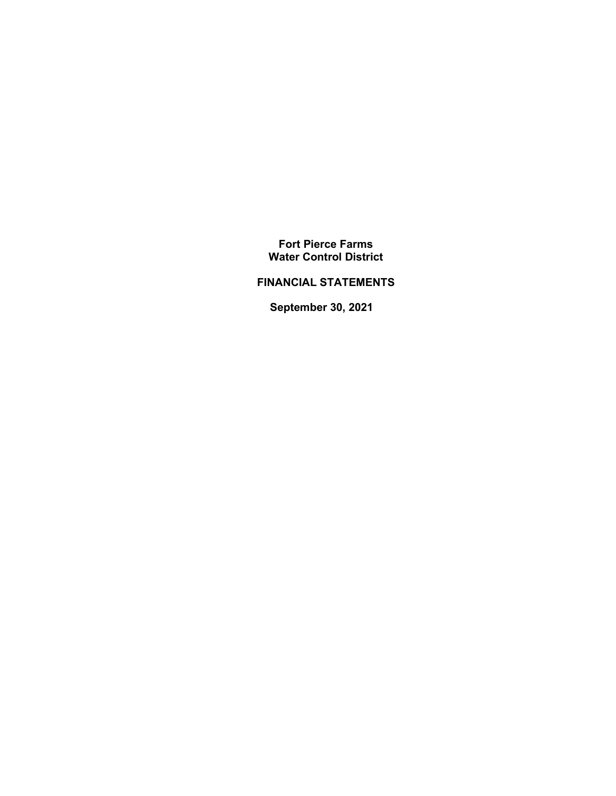**Fort Pierce Farms Water Control District**

**FINANCIAL STATEMENTS**

 **September 30, 2021**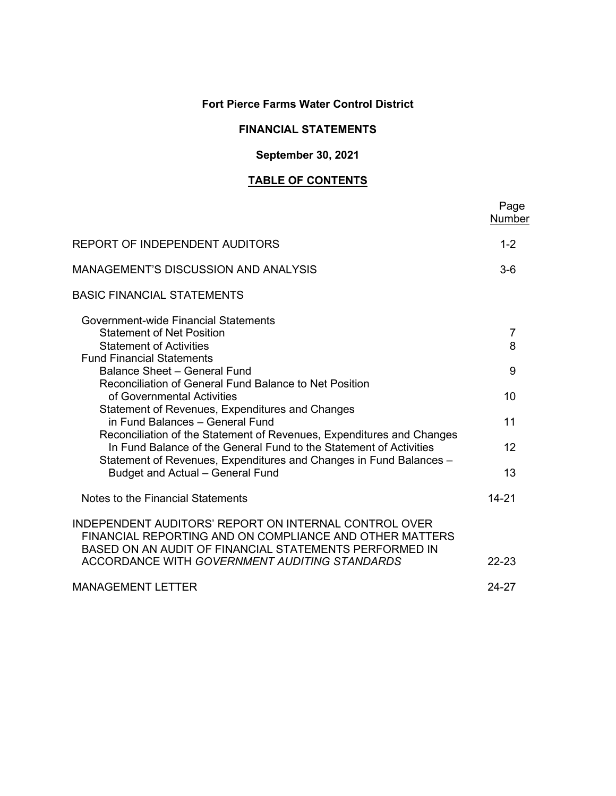# **Fort Pierce Farms Water Control District**

# **FINANCIAL STATEMENTS**

# **September 30, 2021**

# **TABLE OF CONTENTS**

|                                                                                                                                                                                                                                    | Page<br>Number  |
|------------------------------------------------------------------------------------------------------------------------------------------------------------------------------------------------------------------------------------|-----------------|
| REPORT OF INDEPENDENT AUDITORS                                                                                                                                                                                                     | $1 - 2$         |
| <b>MANAGEMENT'S DISCUSSION AND ANALYSIS</b>                                                                                                                                                                                        | $3-6$           |
| <b>BASIC FINANCIAL STATEMENTS</b>                                                                                                                                                                                                  |                 |
| Government-wide Financial Statements<br><b>Statement of Net Position</b><br><b>Statement of Activities</b><br><b>Fund Financial Statements</b>                                                                                     | 7<br>8          |
| <b>Balance Sheet - General Fund</b>                                                                                                                                                                                                | 9               |
| Reconciliation of General Fund Balance to Net Position<br>of Governmental Activities                                                                                                                                               | 10              |
| Statement of Revenues, Expenditures and Changes<br>in Fund Balances - General Fund                                                                                                                                                 | 11              |
| Reconciliation of the Statement of Revenues, Expenditures and Changes<br>In Fund Balance of the General Fund to the Statement of Activities<br>Statement of Revenues, Expenditures and Changes in Fund Balances -                  | 12 <sup>2</sup> |
| Budget and Actual - General Fund                                                                                                                                                                                                   | 13              |
| Notes to the Financial Statements                                                                                                                                                                                                  | $14 - 21$       |
| INDEPENDENT AUDITORS' REPORT ON INTERNAL CONTROL OVER<br>FINANCIAL REPORTING AND ON COMPLIANCE AND OTHER MATTERS<br>BASED ON AN AUDIT OF FINANCIAL STATEMENTS PERFORMED IN<br><b>ACCORDANCE WITH GOVERNMENT AUDITING STANDARDS</b> | 22-23           |
| <b>MANAGEMENT LETTER</b>                                                                                                                                                                                                           | 24-27           |
|                                                                                                                                                                                                                                    |                 |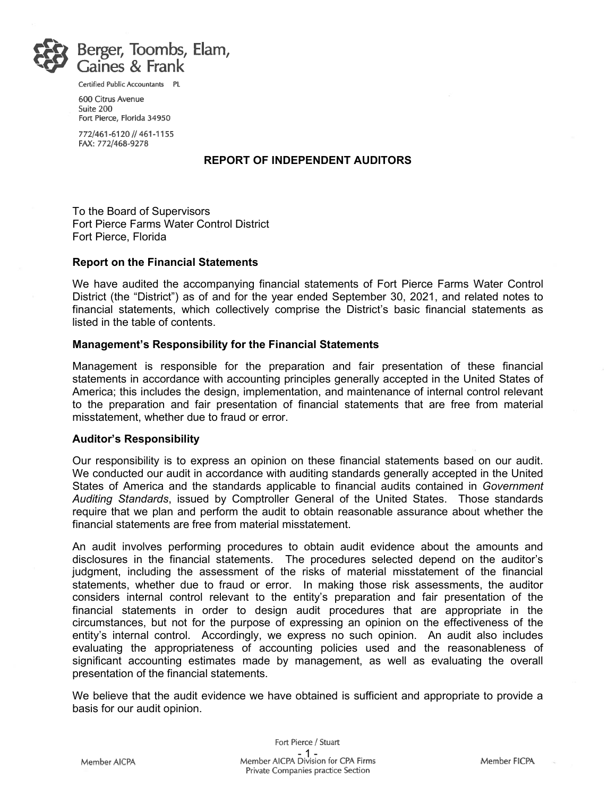

Certified Public Accountants PL

600 Citrus Avenue Suite 200 Fort Pierce, Florida 34950

772/461-6120 // 461-1155 FAX: 772/468-9278

### **REPORT OF INDEPENDENT AUDITORS**

To the Board of Supervisors Fort Pierce Farms Water Control District Fort Pierce, Florida

#### **Report on the Financial Statements**

We have audited the accompanying financial statements of Fort Pierce Farms Water Control District (the "District") as of and for the year ended September 30, 2021, and related notes to financial statements, which collectively comprise the District's basic financial statements as listed in the table of contents.

#### **Management's Responsibility for the Financial Statements**

Management is responsible for the preparation and fair presentation of these financial statements in accordance with accounting principles generally accepted in the United States of America; this includes the design, implementation, and maintenance of internal control relevant to the preparation and fair presentation of financial statements that are free from material misstatement, whether due to fraud or error.

#### **Auditor's Responsibility**

Our responsibility is to express an opinion on these financial statements based on our audit. We conducted our audit in accordance with auditing standards generally accepted in the United States of America and the standards applicable to financial audits contained in *Government Auditing Standards*, issued by Comptroller General of the United States. Those standards require that we plan and perform the audit to obtain reasonable assurance about whether the financial statements are free from material misstatement.

An audit involves performing procedures to obtain audit evidence about the amounts and disclosures in the financial statements. The procedures selected depend on the auditor's judgment, including the assessment of the risks of material misstatement of the financial statements, whether due to fraud or error. In making those risk assessments, the auditor considers internal control relevant to the entity's preparation and fair presentation of the financial statements in order to design audit procedures that are appropriate in the circumstances, but not for the purpose of expressing an opinion on the effectiveness of the entity's internal control. Accordingly, we express no such opinion. An audit also includes evaluating the appropriateness of accounting policies used and the reasonableness of significant accounting estimates made by management, as well as evaluating the overall presentation of the financial statements.

We believe that the audit evidence we have obtained is sufficient and appropriate to provide a basis for our audit opinion.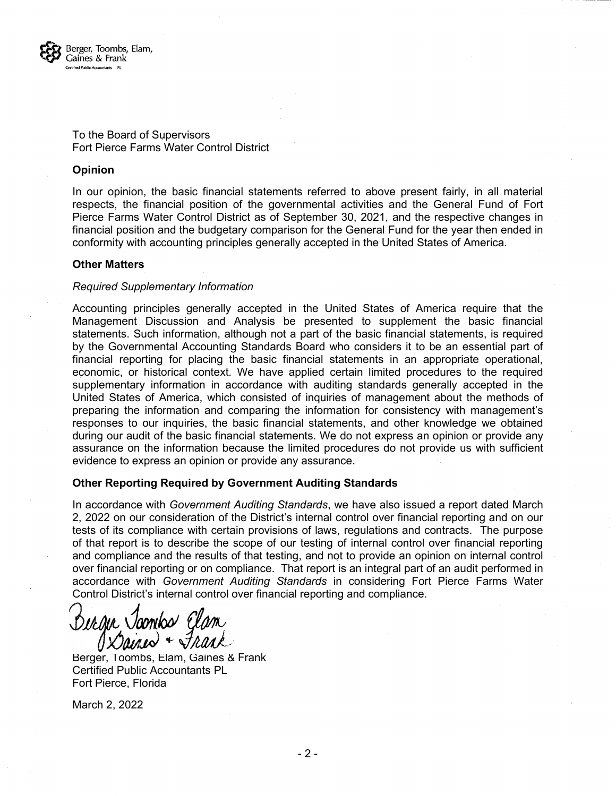

#### **Opinion**

In our opinion, the basic financial statements referred to above present fairly, in all material respects, the financial position of the governmental activities and the General Fund of Fort Pierce Farms Water Control District as of September 30, 2021, and the respective changes in financial position and the budgetary comparison for the General Fund for the year then ended in conformity with accounting principles generally accepted in the United States of America.

#### **Other Matters**

#### *Required Supplementary Information*

Accounting principles generally accepted in the United States of America require that the Management Discussion and Analysis be presented to supplement the basic financial statements. Such information, although not a part of the basic financial statements, is required by the Governmental Accounting Standards Board who considers it to be an essential part of financial reporting for placing the basic financial statements in an appropriate operational, economic, or historical context. We have applied certain limited procedures to the required supplementary information in accordance with auditing standards generally accepted in the United States of America, which consisted of inquiries of management about the methods of preparing the information and comparing the information for consistency with management's responses to our inquiries, the basic financial statements, and other knowledge we obtained during our audit of the basic financial statements. We do not express an opinion or provide any assurance on the information because the limited procedures do not provide us with sufficient evidence to express an opinion or provide any assurance.

#### **Other Reporting Required by Government Auditing Standards**

In accordance with *Government Auditing Standards*, we have also issued a report dated March 2, 2022 on our consideration of the District's internal control over financial reporting and on our tests of its compliance with certain provisions of laws, regulations and contracts. The purpose of that report is to describe the scope of our testing of internal control over financial reporting and compliance and the results of that testing, and not to provide an opinion on internal control over financial reporting or on compliance. That report is an integral part of an audit performed in accordance with *Government Auditing Standards* in considering Fort Pierce Farms Water Control District's internal control over financial reporting and compliance.

Durair Joonibo Elam

Berger, Toombs, Elam, Gaines & Frank Certified Public Accountants PL Fort Pierce, Florida

March 2, 2022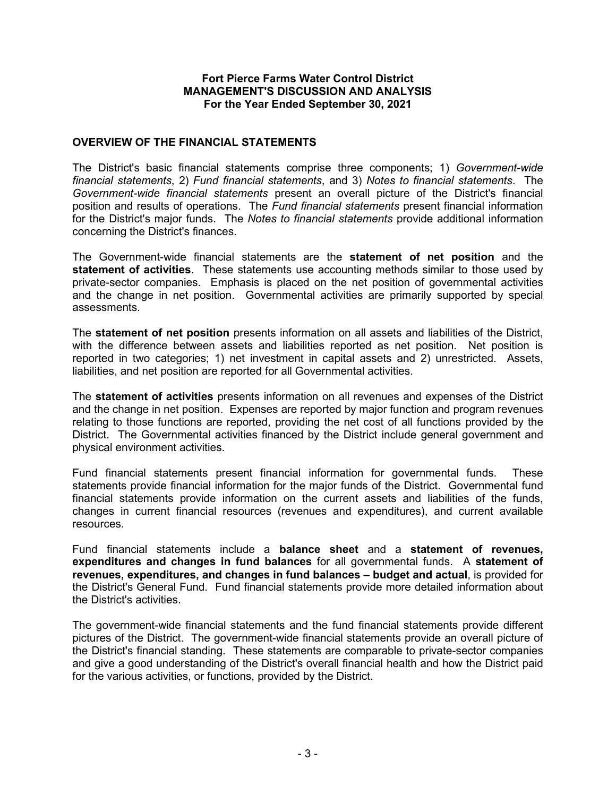### **OVERVIEW OF THE FINANCIAL STATEMENTS**

The District's basic financial statements comprise three components; 1) *Government-wide financial statements*, 2) *Fund financial statements*, and 3) *Notes to financial statements*. The *Government-wide financial statements* present an overall picture of the District's financial position and results of operations. The *Fund financial statements* present financial information for the District's major funds. The *Notes to financial statements* provide additional information concerning the District's finances.

The Government-wide financial statements are the **statement of net position** and the **statement of activities**. These statements use accounting methods similar to those used by private-sector companies. Emphasis is placed on the net position of governmental activities and the change in net position. Governmental activities are primarily supported by special assessments.

The **statement of net position** presents information on all assets and liabilities of the District, with the difference between assets and liabilities reported as net position. Net position is reported in two categories; 1) net investment in capital assets and 2) unrestricted. Assets, liabilities, and net position are reported for all Governmental activities.

The **statement of activities** presents information on all revenues and expenses of the District and the change in net position. Expenses are reported by major function and program revenues relating to those functions are reported, providing the net cost of all functions provided by the District. The Governmental activities financed by the District include general government and physical environment activities.

Fund financial statements present financial information for governmental funds. These statements provide financial information for the major funds of the District. Governmental fund financial statements provide information on the current assets and liabilities of the funds, changes in current financial resources (revenues and expenditures), and current available resources.

Fund financial statements include a **balance sheet** and a **statement of revenues, expenditures and changes in fund balances** for all governmental funds. A **statement of revenues, expenditures, and changes in fund balances – budget and actual**, is provided for the District's General Fund. Fund financial statements provide more detailed information about the District's activities.

The government-wide financial statements and the fund financial statements provide different pictures of the District. The government-wide financial statements provide an overall picture of the District's financial standing. These statements are comparable to private-sector companies and give a good understanding of the District's overall financial health and how the District paid for the various activities, or functions, provided by the District.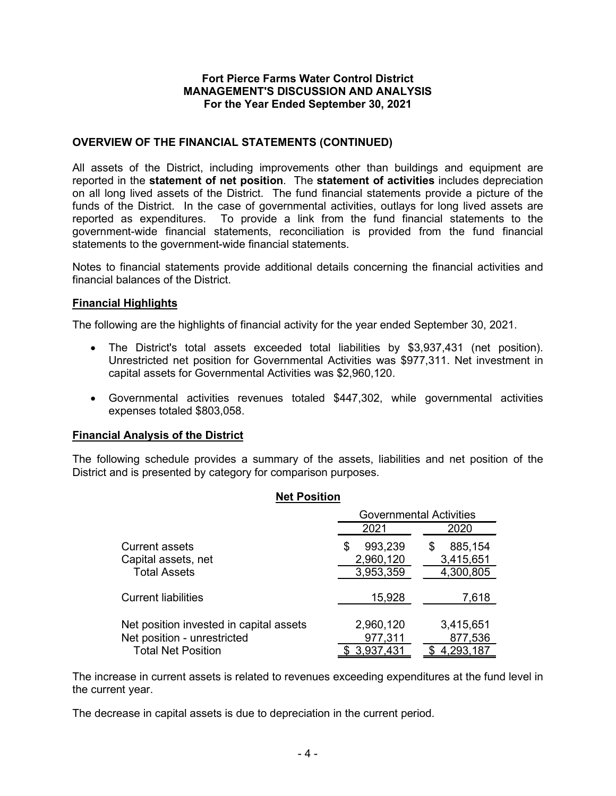### **OVERVIEW OF THE FINANCIAL STATEMENTS (CONTINUED)**

All assets of the District, including improvements other than buildings and equipment are reported in the **statement of net position**. The **statement of activities** includes depreciation on all long lived assets of the District. The fund financial statements provide a picture of the funds of the District. In the case of governmental activities, outlays for long lived assets are reported as expenditures. To provide a link from the fund financial statements to the government-wide financial statements, reconciliation is provided from the fund financial statements to the government-wide financial statements.

Notes to financial statements provide additional details concerning the financial activities and financial balances of the District.

#### **Financial Highlights**

The following are the highlights of financial activity for the year ended September 30, 2021.

- The District's total assets exceeded total liabilities by \$3,937,431 (net position). Unrestricted net position for Governmental Activities was \$977,311. Net investment in capital assets for Governmental Activities was \$2,960,120.
- Governmental activities revenues totaled \$447,302, while governmental activities expenses totaled \$803,058.

#### **Financial Analysis of the District**

The following schedule provides a summary of the assets, liabilities and net position of the District and is presented by category for comparison purposes.

### **Net Position**

|                                         | <b>Governmental Activities</b> |           |  |
|-----------------------------------------|--------------------------------|-----------|--|
|                                         | 2021                           | 2020      |  |
| <b>Current assets</b>                   | 993,239<br>S                   | 885,154   |  |
| Capital assets, net                     | 2,960,120                      | 3,415,651 |  |
| <b>Total Assets</b>                     | 3,953,359                      | 4,300,805 |  |
| <b>Current liabilities</b>              | 15,928                         | 7,618     |  |
| Net position invested in capital assets | 2,960,120                      | 3,415,651 |  |
| Net position - unrestricted             | 977,311                        | 877,536   |  |
| <b>Total Net Position</b>               | 3,937,431                      | 4,293,187 |  |

The increase in current assets is related to revenues exceeding expenditures at the fund level in the current year.

The decrease in capital assets is due to depreciation in the current period.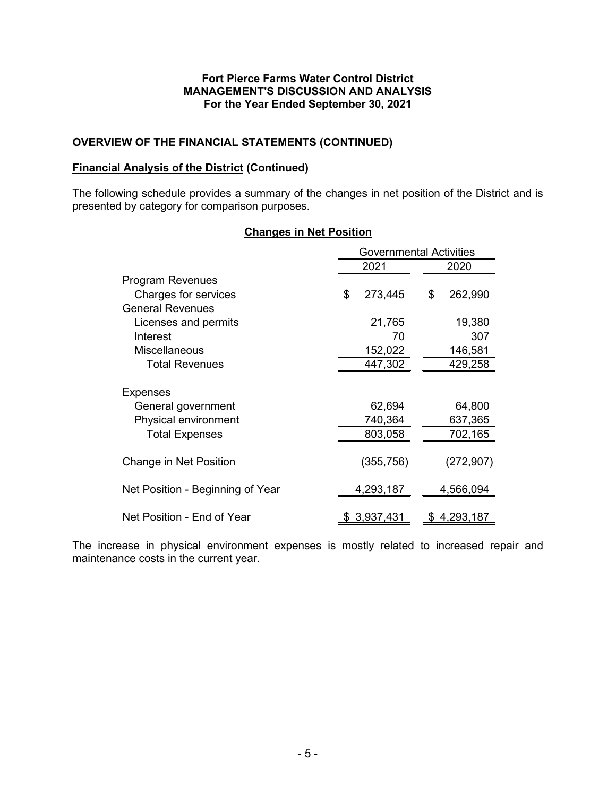# **OVERVIEW OF THE FINANCIAL STATEMENTS (CONTINUED)**

### **Financial Analysis of the District (Continued)**

The following schedule provides a summary of the changes in net position of the District and is presented by category for comparison purposes.

### **Changes in Net Position**

|                                  | <b>Governmental Activities</b> |              |    |             |
|----------------------------------|--------------------------------|--------------|----|-------------|
|                                  |                                | 2021         |    | 2020        |
| <b>Program Revenues</b>          |                                |              |    |             |
| Charges for services             | \$                             | 273,445      | \$ | 262,990     |
| <b>General Revenues</b>          |                                |              |    |             |
| Licenses and permits             |                                | 21,765       |    | 19,380      |
| Interest                         |                                | 70           |    | 307         |
| <b>Miscellaneous</b>             |                                | 152,022      |    | 146,581     |
| <b>Total Revenues</b>            |                                | 447,302      |    | 429,258     |
| <b>Expenses</b>                  |                                |              |    |             |
| General government               |                                | 62,694       |    | 64,800      |
| Physical environment             |                                | 740,364      |    | 637,365     |
| <b>Total Expenses</b>            |                                | 803,058      |    | 702,165     |
| Change in Net Position           |                                | (355, 756)   |    | (272, 907)  |
| Net Position - Beginning of Year |                                | 4,293,187    |    | 4,566,094   |
| Net Position - End of Year       |                                | \$ 3,937,431 |    | \$4,293,187 |

The increase in physical environment expenses is mostly related to increased repair and maintenance costs in the current year.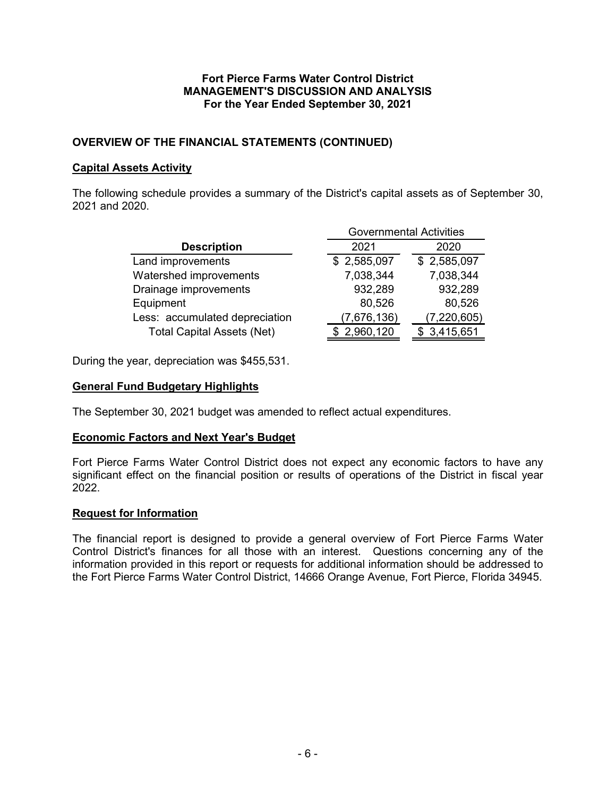# **OVERVIEW OF THE FINANCIAL STATEMENTS (CONTINUED)**

## **Capital Assets Activity**

The following schedule provides a summary of the District's capital assets as of September 30, 2021 and 2020.

|                                   | <b>Governmental Activities</b> |               |  |
|-----------------------------------|--------------------------------|---------------|--|
| <b>Description</b>                | 2021                           | 2020          |  |
| Land improvements                 | \$2,585,097                    | \$2,585,097   |  |
| Watershed improvements            | 7,038,344                      | 7,038,344     |  |
| Drainage improvements             | 932,289                        | 932,289       |  |
| Equipment                         | 80,526                         | 80,526        |  |
| Less: accumulated depreciation    | (7,676,136)                    | (7, 220, 605) |  |
| <b>Total Capital Assets (Net)</b> | \$2,960,120                    | \$3,415,651   |  |

During the year, depreciation was \$455,531.

### **General Fund Budgetary Highlights**

The September 30, 2021 budget was amended to reflect actual expenditures.

#### **Economic Factors and Next Year's Budget**

Fort Pierce Farms Water Control District does not expect any economic factors to have any significant effect on the financial position or results of operations of the District in fiscal year 2022.

#### **Request for Information**

The financial report is designed to provide a general overview of Fort Pierce Farms Water Control District's finances for all those with an interest. Questions concerning any of the information provided in this report or requests for additional information should be addressed to the Fort Pierce Farms Water Control District, 14666 Orange Avenue, Fort Pierce, Florida 34945.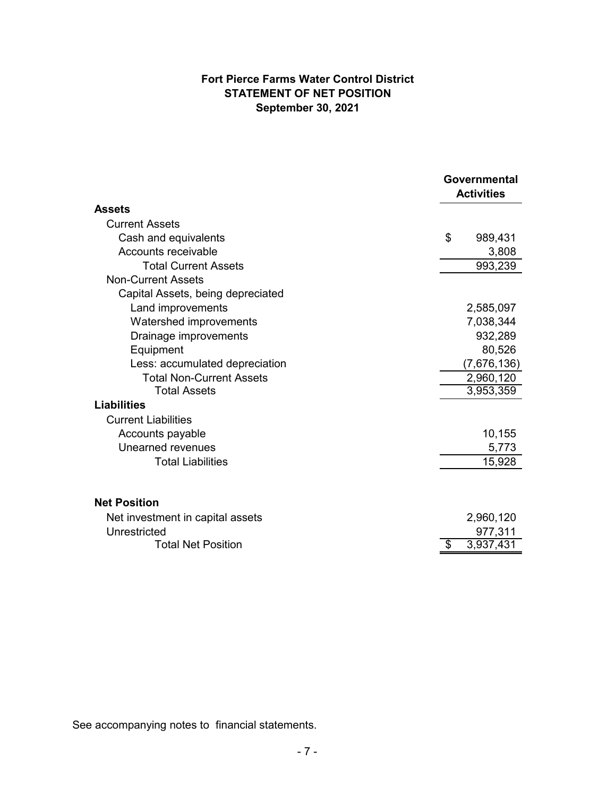# **Fort Pierce Farms Water Control District STATEMENT OF NET POSITION September 30, 2021**

|                                   | <b>Governmental</b><br><b>Activities</b> |
|-----------------------------------|------------------------------------------|
| <b>Assets</b>                     |                                          |
| <b>Current Assets</b>             |                                          |
| Cash and equivalents              | \$<br>989,431                            |
| Accounts receivable               | 3,808                                    |
| <b>Total Current Assets</b>       | 993,239                                  |
| <b>Non-Current Assets</b>         |                                          |
| Capital Assets, being depreciated |                                          |
| Land improvements                 | 2,585,097                                |
| Watershed improvements            | 7,038,344                                |
| Drainage improvements             | 932,289                                  |
| Equipment                         | 80,526                                   |
| Less: accumulated depreciation    | (7,676,136)                              |
| <b>Total Non-Current Assets</b>   | 2,960,120                                |
| <b>Total Assets</b>               | 3,953,359                                |
| <b>Liabilities</b>                |                                          |
| <b>Current Liabilities</b>        |                                          |
| Accounts payable                  | 10,155                                   |
| <b>Unearned revenues</b>          | 5,773                                    |
| <b>Total Liabilities</b>          | 15,928                                   |
|                                   |                                          |
| <b>Net Position</b>               |                                          |
| Net investment in capital assets  | 2,960,120                                |
| Unrestricted                      | 977,311                                  |
| <b>Total Net Position</b>         | \$<br>3,937,431                          |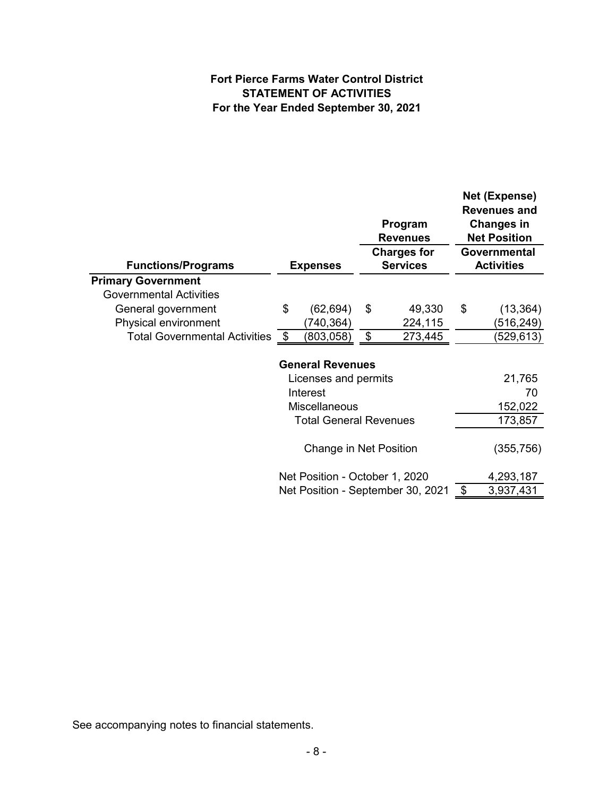# **Fort Pierce Farms Water Control District STATEMENT OF ACTIVITIES For the Year Ended September 30, 2021**

|                                      |               |                                |                                   | <b>Net (Expense)</b><br><b>Revenues and</b> |
|--------------------------------------|---------------|--------------------------------|-----------------------------------|---------------------------------------------|
|                                      |               |                                | Program                           | <b>Changes in</b>                           |
|                                      |               |                                | <b>Revenues</b>                   | <b>Net Position</b>                         |
|                                      |               |                                | <b>Charges for</b>                | Governmental                                |
| <b>Functions/Programs</b>            |               | <b>Expenses</b>                | <b>Services</b>                   | <b>Activities</b>                           |
| <b>Primary Government</b>            |               |                                |                                   |                                             |
| <b>Governmental Activities</b>       |               |                                |                                   |                                             |
| General government                   | \$            | (62,694)                       | \$<br>49,330                      | \$<br>(13, 364)                             |
| Physical environment                 |               | 740,364)                       | 224,115                           | (516,249)                                   |
| <b>Total Governmental Activities</b> | $\frac{1}{2}$ | (803, 058)                     | \$<br>273,445                     | (529, 613)                                  |
|                                      |               | <b>General Revenues</b>        |                                   |                                             |
|                                      |               | Licenses and permits           |                                   | 21,765                                      |
|                                      |               | Interest                       |                                   | 70                                          |
|                                      |               | <b>Miscellaneous</b>           |                                   | 152,022                                     |
|                                      |               | <b>Total General Revenues</b>  |                                   | 173,857                                     |
|                                      |               | Change in Net Position         |                                   | (355, 756)                                  |
|                                      |               | Net Position - October 1, 2020 |                                   | 4,293,187                                   |
|                                      |               |                                | Net Position - September 30, 2021 | \$<br>3,937,431                             |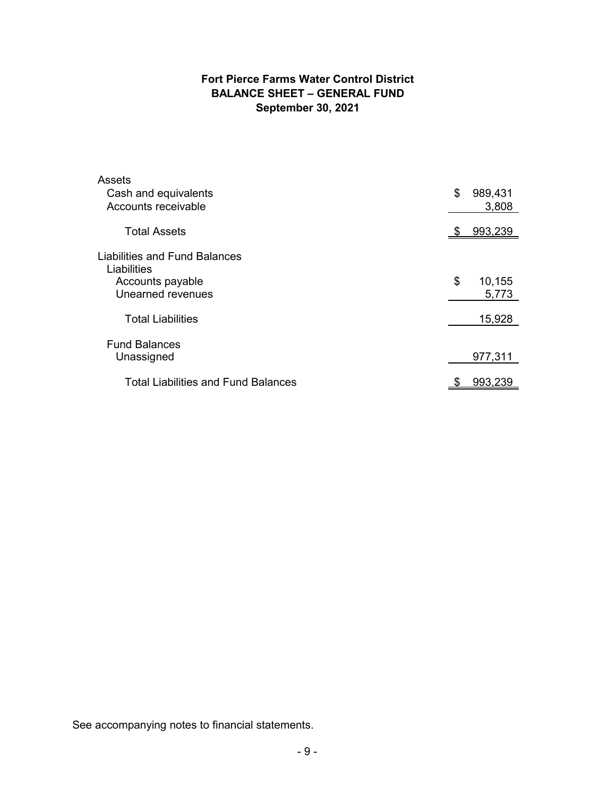# **Fort Pierce Farms Water Control District BALANCE SHEET – GENERAL FUND September 30, 2021**

| Assets<br>Cash and equivalents<br>Accounts receivable | \$<br>989,431<br>3,808 |
|-------------------------------------------------------|------------------------|
| <b>Total Assets</b>                                   | 993,239                |
| Liabilities and Fund Balances<br>Liabilities          |                        |
| Accounts payable<br>Unearned revenues                 | \$<br>10,155<br>5,773  |
| <b>Total Liabilities</b>                              | 15,928                 |
| <b>Fund Balances</b>                                  |                        |
| Unassigned                                            | 977,311                |
| <b>Total Liabilities and Fund Balances</b>            | 993.239                |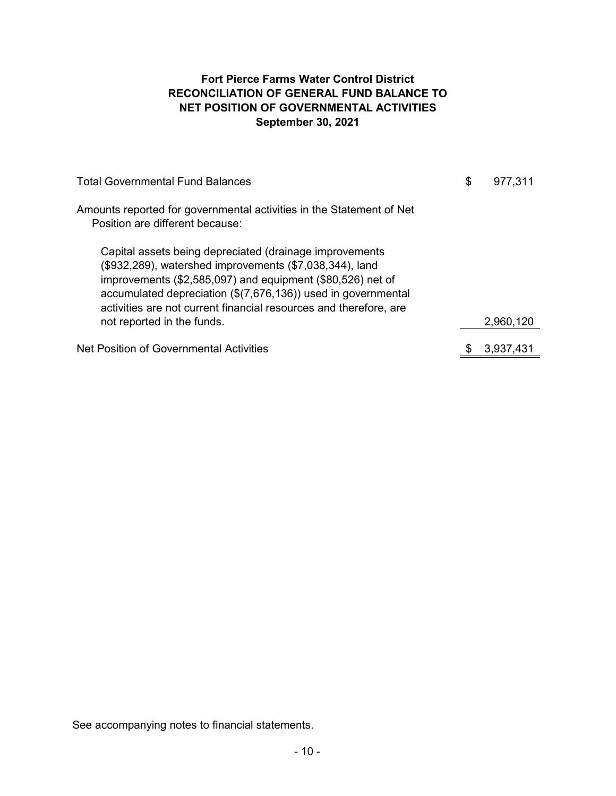# **Fort Pierce Farms Water Control District RECONCILIATION OF GENERAL FUND BALANCE TO NET POSITION OF GOVERNMENTAL ACTIVITIES September 30, 2021**

| <b>Total Governmental Fund Balances</b>                                                                                                                                                                                                                                                                                                              | \$<br>977,311 |
|------------------------------------------------------------------------------------------------------------------------------------------------------------------------------------------------------------------------------------------------------------------------------------------------------------------------------------------------------|---------------|
| Amounts reported for governmental activities in the Statement of Net<br>Position are different because:                                                                                                                                                                                                                                              |               |
| Capital assets being depreciated (drainage improvements<br>(\$932,289), watershed improvements (\$7,038,344), land<br>improvements (\$2,585,097) and equipment (\$80,526) net of<br>accumulated depreciation (\$(7,676,136)) used in governmental<br>activities are not current financial resources and therefore, are<br>not reported in the funds. | 2,960,120     |
| <b>Net Position of Governmental Activities</b>                                                                                                                                                                                                                                                                                                       | 3,937,431     |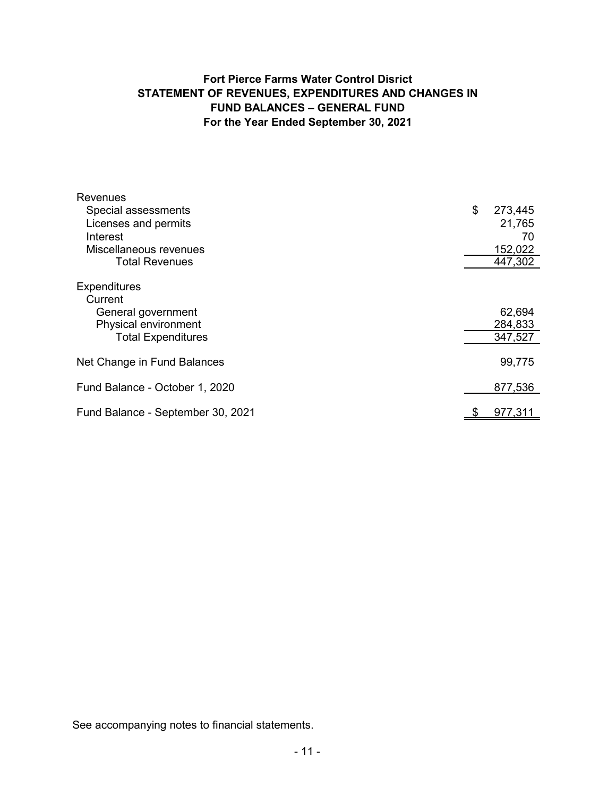# **Fort Pierce Farms Water Control Disrict STATEMENT OF REVENUES, EXPENDITURES AND CHANGES IN FUND BALANCES – GENERAL FUND For the Year Ended September 30, 2021**

| Revenues                          |               |
|-----------------------------------|---------------|
| Special assessments               | \$<br>273,445 |
| Licenses and permits              | 21,765        |
| Interest                          | 70            |
| Miscellaneous revenues            | 152,022       |
| <b>Total Revenues</b>             | 447,302       |
| <b>Expenditures</b><br>Current    |               |
| General government                | 62,694        |
| Physical environment              | 284,833       |
| <b>Total Expenditures</b>         | 347,527       |
| Net Change in Fund Balances       | 99,775        |
| Fund Balance - October 1, 2020    | 877,536       |
| Fund Balance - September 30, 2021 | 977,311       |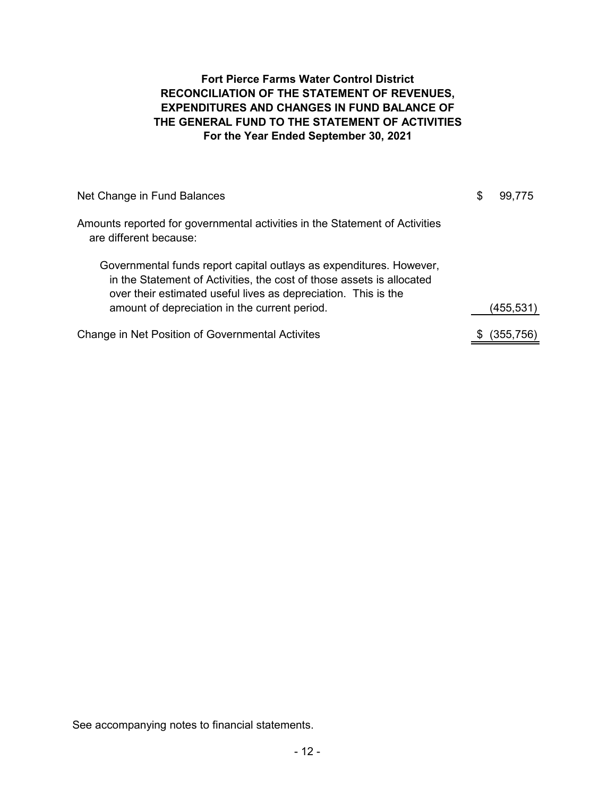# **Fort Pierce Farms Water Control District RECONCILIATION OF THE STATEMENT OF REVENUES, EXPENDITURES AND CHANGES IN FUND BALANCE OF THE GENERAL FUND TO THE STATEMENT OF ACTIVITIES For the Year Ended September 30, 2021**

| Net Change in Fund Balances                                                                                                                                                                                                                                     | \$<br>99,775 |
|-----------------------------------------------------------------------------------------------------------------------------------------------------------------------------------------------------------------------------------------------------------------|--------------|
| Amounts reported for governmental activities in the Statement of Activities<br>are different because:                                                                                                                                                           |              |
| Governmental funds report capital outlays as expenditures. However,<br>in the Statement of Activities, the cost of those assets is allocated<br>over their estimated useful lives as depreciation. This is the<br>amount of depreciation in the current period. | (455,531)    |
| Change in Net Position of Governmental Activites                                                                                                                                                                                                                | (355.756)    |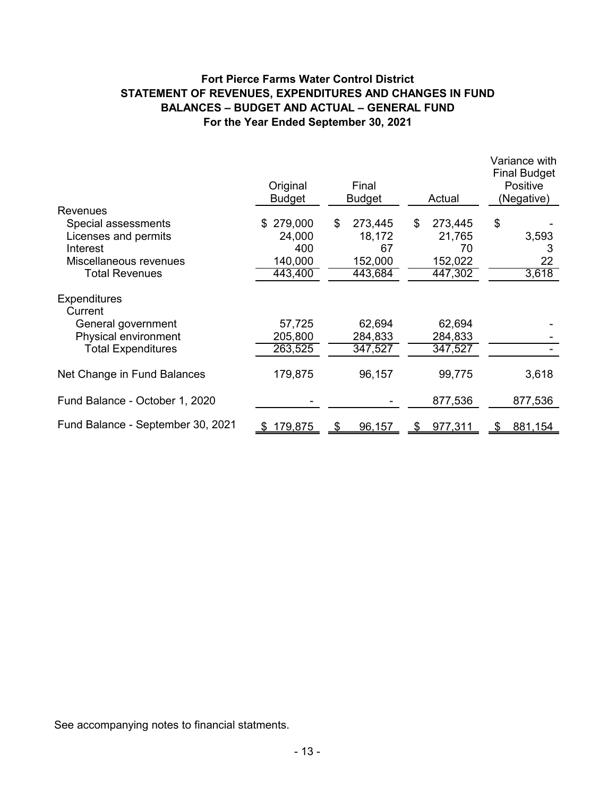# **Fort Pierce Farms Water Control District STATEMENT OF REVENUES, EXPENDITURES AND CHANGES IN FUND BALANCES – BUDGET AND ACTUAL – GENERAL FUND For the Year Ended September 30, 2021**

|                                   |               |               |               | Variance with<br><b>Final Budget</b> |
|-----------------------------------|---------------|---------------|---------------|--------------------------------------|
|                                   | Original      | Final         |               | Positive                             |
|                                   | <b>Budget</b> | <b>Budget</b> | Actual        | (Negative)                           |
| <b>Revenues</b>                   |               |               |               |                                      |
| Special assessments               | \$279,000     | 273,445<br>\$ | 273,445<br>\$ | \$                                   |
| Licenses and permits              | 24,000        | 18,172        | 21,765        | 3,593                                |
| Interest                          | 400           | 67            | 70            | 3                                    |
| Miscellaneous revenues            | 140,000       | 152,000       | 152,022       | 22                                   |
| <b>Total Revenues</b>             | 443,400       | 443,684       | 447,302       | 3,618                                |
| <b>Expenditures</b>               |               |               |               |                                      |
| Current                           |               |               |               |                                      |
| General government                | 57,725        | 62,694        | 62,694        |                                      |
| Physical environment              | 205,800       | 284,833       | 284,833       |                                      |
| <b>Total Expenditures</b>         | 263,525       | 347,527       | 347,527       |                                      |
| Net Change in Fund Balances       | 179,875       | 96,157        | 99,775        | 3,618                                |
| Fund Balance - October 1, 2020    |               |               | 877,536       | 877,536                              |
| Fund Balance - September 30, 2021 | 179,875       | 96,157        | 977,311       | 881,154                              |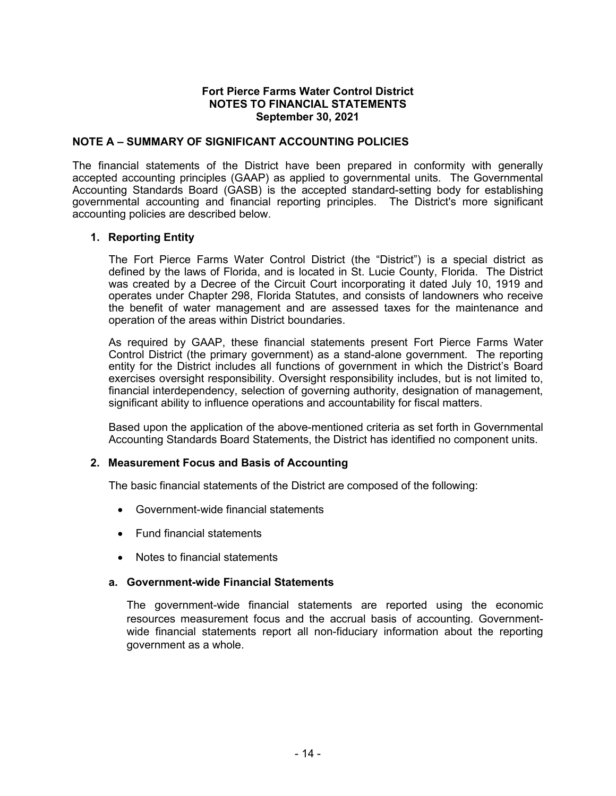### **NOTE A – SUMMARY OF SIGNIFICANT ACCOUNTING POLICIES**

The financial statements of the District have been prepared in conformity with generally accepted accounting principles (GAAP) as applied to governmental units. The Governmental Accounting Standards Board (GASB) is the accepted standard-setting body for establishing governmental accounting and financial reporting principles. The District's more significant accounting policies are described below.

### **1. Reporting Entity**

The Fort Pierce Farms Water Control District (the "District") is a special district as defined by the laws of Florida, and is located in St. Lucie County, Florida. The District was created by a Decree of the Circuit Court incorporating it dated July 10, 1919 and operates under Chapter 298, Florida Statutes, and consists of landowners who receive the benefit of water management and are assessed taxes for the maintenance and operation of the areas within District boundaries.

As required by GAAP, these financial statements present Fort Pierce Farms Water Control District (the primary government) as a stand-alone government. The reporting entity for the District includes all functions of government in which the District's Board exercises oversight responsibility. Oversight responsibility includes, but is not limited to, financial interdependency, selection of governing authority, designation of management, significant ability to influence operations and accountability for fiscal matters.

Based upon the application of the above-mentioned criteria as set forth in Governmental Accounting Standards Board Statements, the District has identified no component units.

#### **2. Measurement Focus and Basis of Accounting**

The basic financial statements of the District are composed of the following:

- Government-wide financial statements
- Fund financial statements
- Notes to financial statements

#### **a. Government-wide Financial Statements**

The government-wide financial statements are reported using the economic resources measurement focus and the accrual basis of accounting. Governmentwide financial statements report all non-fiduciary information about the reporting government as a whole.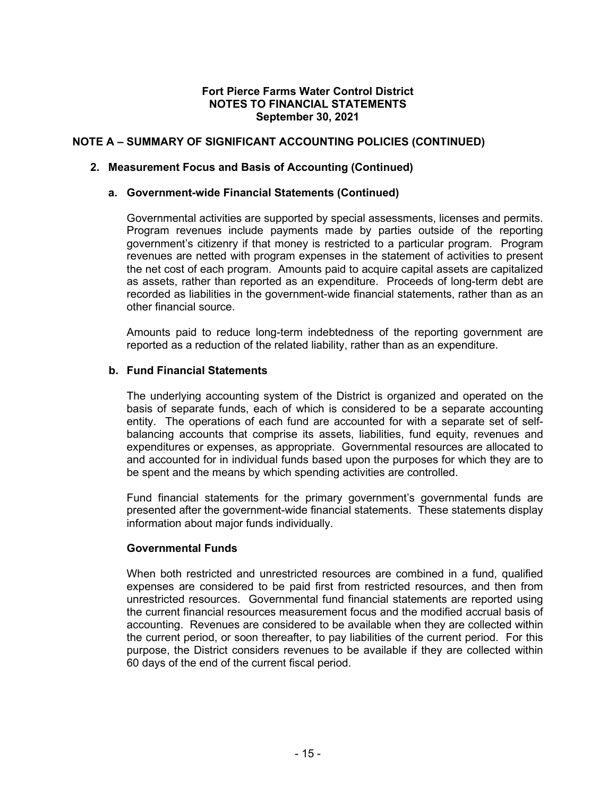# **NOTE A – SUMMARY OF SIGNIFICANT ACCOUNTING POLICIES (CONTINUED)**

#### **2. Measurement Focus and Basis of Accounting (Continued)**

#### **a. Government-wide Financial Statements (Continued)**

Governmental activities are supported by special assessments, licenses and permits. Program revenues include payments made by parties outside of the reporting government's citizenry if that money is restricted to a particular program. Program revenues are netted with program expenses in the statement of activities to present the net cost of each program. Amounts paid to acquire capital assets are capitalized as assets, rather than reported as an expenditure. Proceeds of long-term debt are recorded as liabilities in the government-wide financial statements, rather than as an other financial source.

Amounts paid to reduce long-term indebtedness of the reporting government are reported as a reduction of the related liability, rather than as an expenditure.

## **b. Fund Financial Statements**

The underlying accounting system of the District is organized and operated on the basis of separate funds, each of which is considered to be a separate accounting entity. The operations of each fund are accounted for with a separate set of selfbalancing accounts that comprise its assets, liabilities, fund equity, revenues and expenditures or expenses, as appropriate. Governmental resources are allocated to and accounted for in individual funds based upon the purposes for which they are to be spent and the means by which spending activities are controlled.

Fund financial statements for the primary government's governmental funds are presented after the government-wide financial statements. These statements display information about major funds individually.

## **Governmental Funds**

When both restricted and unrestricted resources are combined in a fund, qualified expenses are considered to be paid first from restricted resources, and then from unrestricted resources. Governmental fund financial statements are reported using the current financial resources measurement focus and the modified accrual basis of accounting. Revenues are considered to be available when they are collected within the current period, or soon thereafter, to pay liabilities of the current period. For this purpose, the District considers revenues to be available if they are collected within 60 days of the end of the current fiscal period.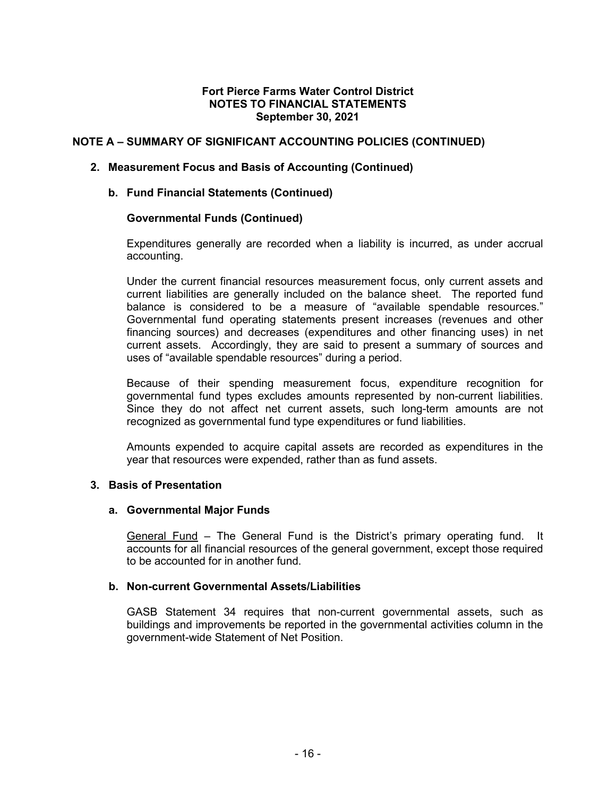# **NOTE A – SUMMARY OF SIGNIFICANT ACCOUNTING POLICIES (CONTINUED)**

### **2. Measurement Focus and Basis of Accounting (Continued)**

### **b. Fund Financial Statements (Continued)**

### **Governmental Funds (Continued)**

Expenditures generally are recorded when a liability is incurred, as under accrual accounting.

Under the current financial resources measurement focus, only current assets and current liabilities are generally included on the balance sheet. The reported fund balance is considered to be a measure of "available spendable resources." Governmental fund operating statements present increases (revenues and other financing sources) and decreases (expenditures and other financing uses) in net current assets. Accordingly, they are said to present a summary of sources and uses of "available spendable resources" during a period.

Because of their spending measurement focus, expenditure recognition for governmental fund types excludes amounts represented by non-current liabilities. Since they do not affect net current assets, such long-term amounts are not recognized as governmental fund type expenditures or fund liabilities.

Amounts expended to acquire capital assets are recorded as expenditures in the year that resources were expended, rather than as fund assets.

#### **3. Basis of Presentation**

#### **a. Governmental Major Funds**

General Fund - The General Fund is the District's primary operating fund. It accounts for all financial resources of the general government, except those required to be accounted for in another fund.

#### **b. Non-current Governmental Assets/Liabilities**

GASB Statement 34 requires that non-current governmental assets, such as buildings and improvements be reported in the governmental activities column in the government-wide Statement of Net Position.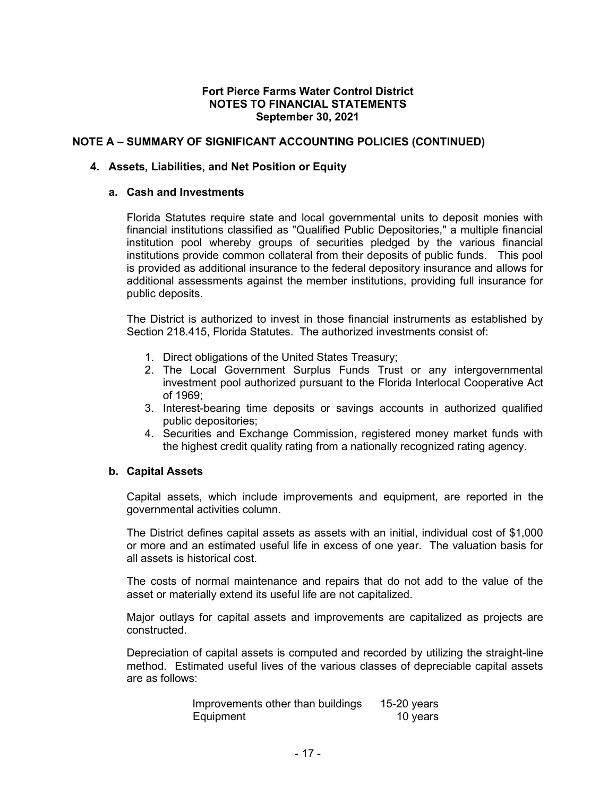## **NOTE A – SUMMARY OF SIGNIFICANT ACCOUNTING POLICIES (CONTINUED)**

#### **4. Assets, Liabilities, and Net Position or Equity**

#### **a. Cash and Investments**

Florida Statutes require state and local governmental units to deposit monies with financial institutions classified as "Qualified Public Depositories," a multiple financial institution pool whereby groups of securities pledged by the various financial institutions provide common collateral from their deposits of public funds. This pool is provided as additional insurance to the federal depository insurance and allows for additional assessments against the member institutions, providing full insurance for public deposits.

The District is authorized to invest in those financial instruments as established by Section 218.415, Florida Statutes. The authorized investments consist of:

- 1. Direct obligations of the United States Treasury;
- 2. The Local Government Surplus Funds Trust or any intergovernmental investment pool authorized pursuant to the Florida Interlocal Cooperative Act of 1969;
- 3. Interest-bearing time deposits or savings accounts in authorized qualified public depositories;
- 4. Securities and Exchange Commission, registered money market funds with the highest credit quality rating from a nationally recognized rating agency.

#### **b. Capital Assets**

Capital assets, which include improvements and equipment, are reported in the governmental activities column.

The District defines capital assets as assets with an initial, individual cost of \$1,000 or more and an estimated useful life in excess of one year. The valuation basis for all assets is historical cost.

The costs of normal maintenance and repairs that do not add to the value of the asset or materially extend its useful life are not capitalized.

Major outlays for capital assets and improvements are capitalized as projects are constructed.

Depreciation of capital assets is computed and recorded by utilizing the straight-line method. Estimated useful lives of the various classes of depreciable capital assets are as follows:

| Improvements other than buildings | 15-20 years |
|-----------------------------------|-------------|
| Equipment                         | 10 years    |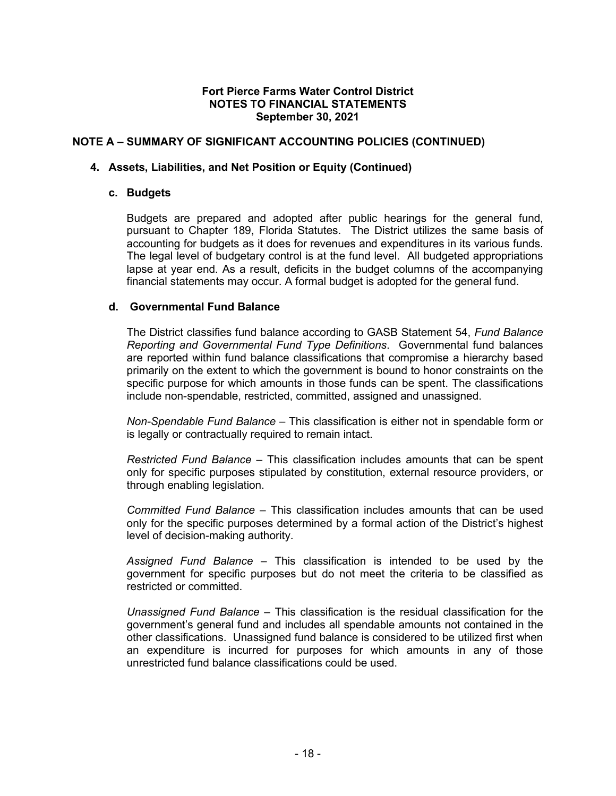# **NOTE A – SUMMARY OF SIGNIFICANT ACCOUNTING POLICIES (CONTINUED)**

#### **4. Assets, Liabilities, and Net Position or Equity (Continued)**

#### **c. Budgets**

Budgets are prepared and adopted after public hearings for the general fund, pursuant to Chapter 189, Florida Statutes. The District utilizes the same basis of accounting for budgets as it does for revenues and expenditures in its various funds. The legal level of budgetary control is at the fund level. All budgeted appropriations lapse at year end. As a result, deficits in the budget columns of the accompanying financial statements may occur. A formal budget is adopted for the general fund.

# **d. Governmental Fund Balance**

The District classifies fund balance according to GASB Statement 54, *Fund Balance Reporting and Governmental Fund Type Definitions*. Governmental fund balances are reported within fund balance classifications that compromise a hierarchy based primarily on the extent to which the government is bound to honor constraints on the specific purpose for which amounts in those funds can be spent. The classifications include non-spendable, restricted, committed, assigned and unassigned.

*Non-Spendable Fund Balance –* This classification is either not in spendable form or is legally or contractually required to remain intact.

*Restricted Fund Balance –* This classification includes amounts that can be spent only for specific purposes stipulated by constitution, external resource providers, or through enabling legislation.

*Committed Fund Balance* – This classification includes amounts that can be used only for the specific purposes determined by a formal action of the District's highest level of decision-making authority.

*Assigned Fund Balance* – This classification is intended to be used by the government for specific purposes but do not meet the criteria to be classified as restricted or committed.

*Unassigned Fund Balance* – This classification is the residual classification for the government's general fund and includes all spendable amounts not contained in the other classifications. Unassigned fund balance is considered to be utilized first when an expenditure is incurred for purposes for which amounts in any of those unrestricted fund balance classifications could be used.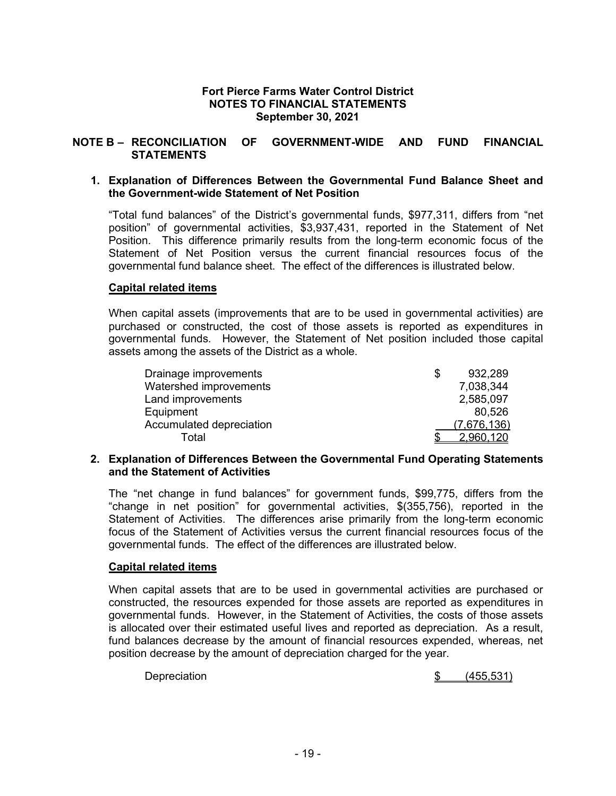#### **NOTE B – RECONCILIATION OF GOVERNMENT-WIDE AND FUND FINANCIAL STATEMENTS**

#### **1. Explanation of Differences Between the Governmental Fund Balance Sheet and the Government-wide Statement of Net Position**

"Total fund balances" of the District's governmental funds, \$977,311, differs from "net position" of governmental activities, \$3,937,431, reported in the Statement of Net Position. This difference primarily results from the long-term economic focus of the Statement of Net Position versus the current financial resources focus of the governmental fund balance sheet. The effect of the differences is illustrated below.

### **Capital related items**

When capital assets (improvements that are to be used in governmental activities) are purchased or constructed, the cost of those assets is reported as expenditures in governmental funds. However, the Statement of Net position included those capital assets among the assets of the District as a whole.

| Drainage improvements    | S | 932,289     |
|--------------------------|---|-------------|
| Watershed improvements   |   | 7,038,344   |
| Land improvements        |   | 2,585,097   |
| Equipment                |   | 80.526      |
| Accumulated depreciation |   | (7,676,136) |
| Total                    |   | 2,960,120   |

#### **2. Explanation of Differences Between the Governmental Fund Operating Statements and the Statement of Activities**

The "net change in fund balances" for government funds, \$99,775, differs from the "change in net position" for governmental activities, \$(355,756), reported in the Statement of Activities. The differences arise primarily from the long-term economic focus of the Statement of Activities versus the current financial resources focus of the governmental funds. The effect of the differences are illustrated below.

#### **Capital related items**

When capital assets that are to be used in governmental activities are purchased or constructed, the resources expended for those assets are reported as expenditures in governmental funds. However, in the Statement of Activities, the costs of those assets is allocated over their estimated useful lives and reported as depreciation. As a result, fund balances decrease by the amount of financial resources expended, whereas, net position decrease by the amount of depreciation charged for the year.

Depreciation **between** the contract of the contract of the contract of the contract of the contract of the contract of the contract of the contract of the contract of the contract of the contract of the contract of the con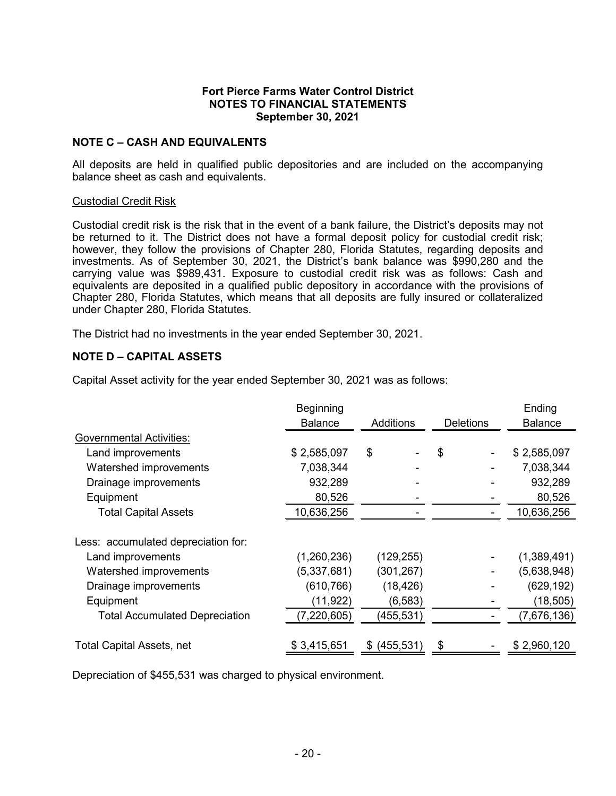### **NOTE C – CASH AND EQUIVALENTS**

All deposits are held in qualified public depositories and are included on the accompanying balance sheet as cash and equivalents.

#### Custodial Credit Risk

Custodial credit risk is the risk that in the event of a bank failure, the District's deposits may not be returned to it. The District does not have a formal deposit policy for custodial credit risk; however, they follow the provisions of Chapter 280, Florida Statutes, regarding deposits and investments. As of September 30, 2021, the District's bank balance was \$990,280 and the carrying value was \$989,431. Exposure to custodial credit risk was as follows: Cash and equivalents are deposited in a qualified public depository in accordance with the provisions of Chapter 280, Florida Statutes, which means that all deposits are fully insured or collateralized under Chapter 280, Florida Statutes.

The District had no investments in the year ended September 30, 2021.

## **NOTE D – CAPITAL ASSETS**

Capital Asset activity for the year ended September 30, 2021 was as follows:

|                                       | <b>Beginning</b> |                  |                  | Ending         |
|---------------------------------------|------------------|------------------|------------------|----------------|
|                                       | <b>Balance</b>   | <b>Additions</b> | <b>Deletions</b> | <b>Balance</b> |
| <b>Governmental Activities:</b>       |                  |                  |                  |                |
| Land improvements                     | \$2,585,097      | \$               | \$               | \$2,585,097    |
| Watershed improvements                | 7,038,344        |                  |                  | 7,038,344      |
| Drainage improvements                 | 932,289          |                  |                  | 932,289        |
| Equipment                             | 80,526           |                  |                  | 80,526         |
| <b>Total Capital Assets</b>           | 10,636,256       |                  |                  | 10,636,256     |
| Less: accumulated depreciation for:   |                  |                  |                  |                |
| Land improvements                     | (1,260,236)      | (129, 255)       |                  | (1,389,491)    |
| Watershed improvements                | (5,337,681)      | (301, 267)       |                  | (5,638,948)    |
| Drainage improvements                 | (610, 766)       | (18, 426)        |                  | (629, 192)     |
| Equipment                             | (11, 922)        | (6, 583)         |                  | (18, 505)      |
| <b>Total Accumulated Depreciation</b> | (7, 220, 605)    | (455,531)        |                  | (7,676,136)    |
| <b>Total Capital Assets, net</b>      | \$3,415,651      | (455, 531)<br>\$ | \$               | \$2,960,120    |

Depreciation of \$455,531 was charged to physical environment.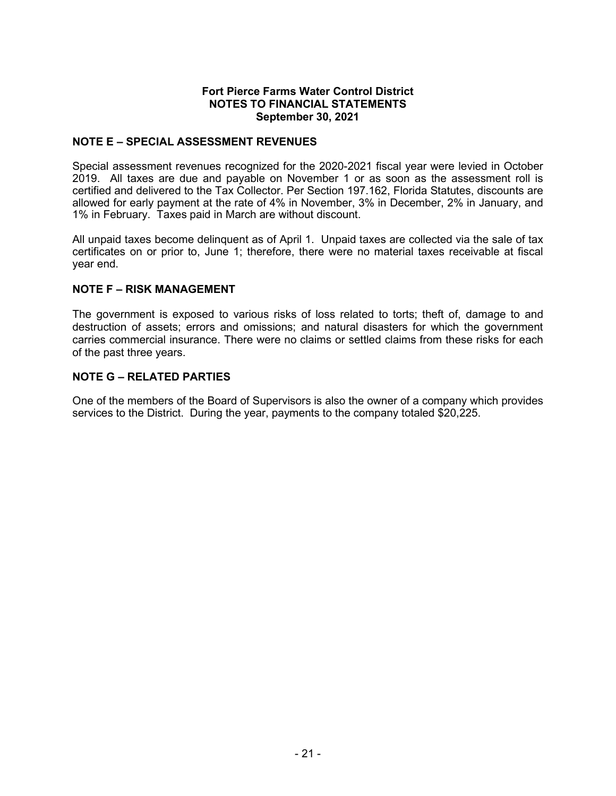### **NOTE E – SPECIAL ASSESSMENT REVENUES**

Special assessment revenues recognized for the 2020-2021 fiscal year were levied in October 2019. All taxes are due and payable on November 1 or as soon as the assessment roll is certified and delivered to the Tax Collector. Per Section 197.162, Florida Statutes, discounts are allowed for early payment at the rate of 4% in November, 3% in December, 2% in January, and 1% in February. Taxes paid in March are without discount.

All unpaid taxes become delinquent as of April 1. Unpaid taxes are collected via the sale of tax certificates on or prior to, June 1; therefore, there were no material taxes receivable at fiscal year end.

#### **NOTE F – RISK MANAGEMENT**

The government is exposed to various risks of loss related to torts; theft of, damage to and destruction of assets; errors and omissions; and natural disasters for which the government carries commercial insurance. There were no claims or settled claims from these risks for each of the past three years.

### **NOTE G – RELATED PARTIES**

One of the members of the Board of Supervisors is also the owner of a company which provides services to the District. During the year, payments to the company totaled \$20,225.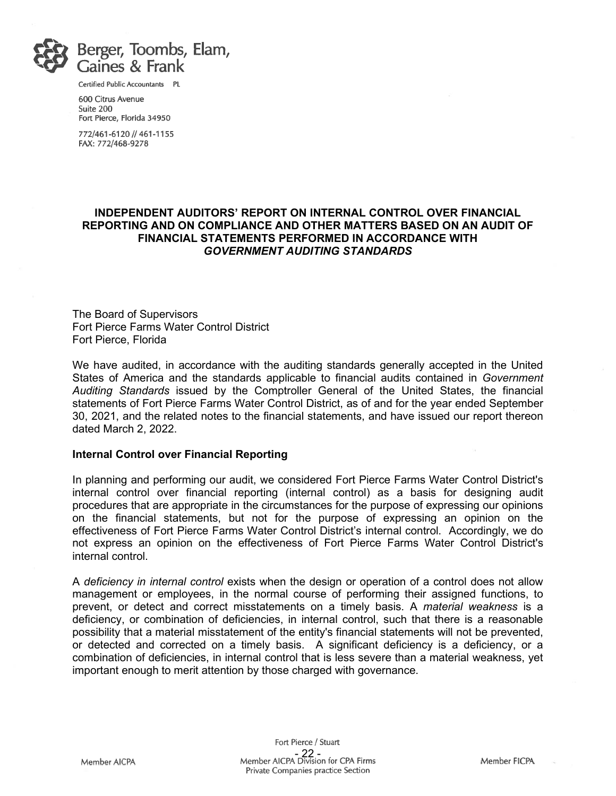

Certified Public Accountants PL

600 Citrus Avenue Suite 200 Fort Pierce, Florida 34950

772/461-6120 // 461-1155 FAX: 772/468-9278

### **INDEPENDENT AUDITORS' REPORT ON INTERNAL CONTROL OVER FINANCIAL REPORTING AND ON COMPLIANCE AND OTHER MATTERS BASED ON AN AUDIT OF FINANCIAL STATEMENTS PERFORMED IN ACCORDANCE WITH** *GOVERNMENT AUDITING STANDARDS*

The Board of Supervisors Fort Pierce Farms Water Control District Fort Pierce, Florida

We have audited, in accordance with the auditing standards generally accepted in the United States of America and the standards applicable to financial audits contained in *Government Auditing Standards* issued by the Comptroller General of the United States, the financial statements of Fort Pierce Farms Water Control District, as of and for the year ended September 30, 2021, and the related notes to the financial statements, and have issued our report thereon dated March 2, 2022.

#### **Internal Control over Financial Reporting**

In planning and performing our audit, we considered Fort Pierce Farms Water Control District's internal control over financial reporting (internal control) as a basis for designing audit procedures that are appropriate in the circumstances for the purpose of expressing our opinions on the financial statements, but not for the purpose of expressing an opinion on the effectiveness of Fort Pierce Farms Water Control District's internal control. Accordingly, we do not express an opinion on the effectiveness of Fort Pierce Farms Water Control District's internal control.

A *deficiency in internal control* exists when the design or operation of a control does not allow management or employees, in the normal course of performing their assigned functions, to prevent, or detect and correct misstatements on a timely basis. A *material weakness* is a deficiency, or combination of deficiencies, in internal control, such that there is a reasonable possibility that a material misstatement of the entity's financial statements will not be prevented, or detected and corrected on a timely basis. A significant deficiency is a deficiency, or a combination of deficiencies, in internal control that is less severe than a material weakness, yet important enough to merit attention by those charged with governance.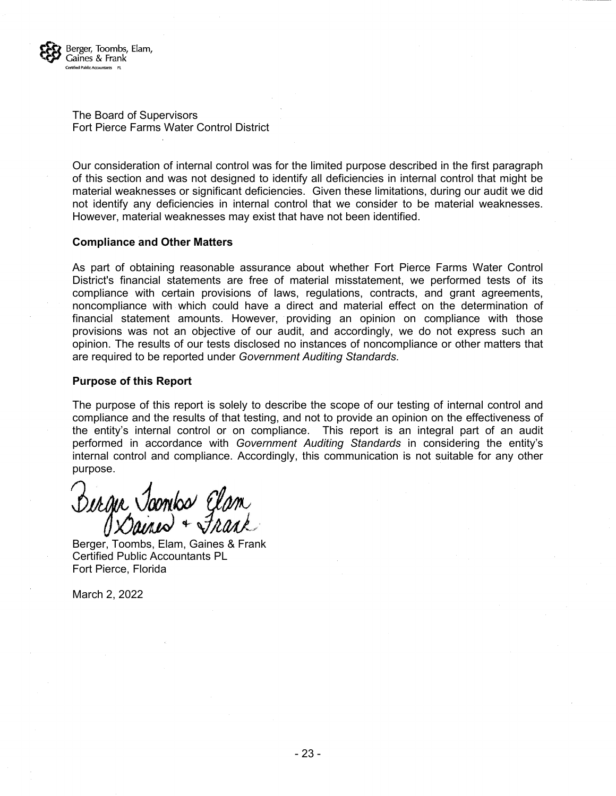

Our consideration of internal control was for the limited purpose described in the first paragraph of this section and was not designed to identify all deficiencies in internal control that might be material weaknesses or significant deficiencies. Given these limitations, during our audit we did not identify any deficiencies in internal control that we consider to be material weaknesses. However, material weaknesses may exist that have not been identified.

#### **Compliance and Other Matters**

As part of obtaining reasonable assurance about whether Fort Pierce Farms Water Control District's financial statements are free of material misstatement, we performed tests of its compliance with certain provisions of laws, regulations, contracts, and grant agreements, noncompliance with which could have a direct and material effect on the determination of financial statement amounts. However, providing an opinion on compliance with those provisions was not an objective of our audit, and accordingly, we do not express such an opinion. The results of our tests disclosed no instances of noncompliance or other matters that are required to be reported under *Government Auditing Standards*.

#### **Purpose of this Report**

The purpose of this report is solely to describe the scope of our testing of internal control and compliance and the results of that testing, and not to provide an opinion on the effectiveness of the entity's internal control or on compliance. This report is an integral part of an audit performed in accordance with *Government Auditing Standards* in considering the entity's internal control and compliance. Accordingly, this communication is not suitable for any other purpose.

Birgir Joonbo Clam

Berger, Toombs, Elam, Gaines & Frank Certified Public Accountants PL Fort Pierce, Florida

March 2, 2022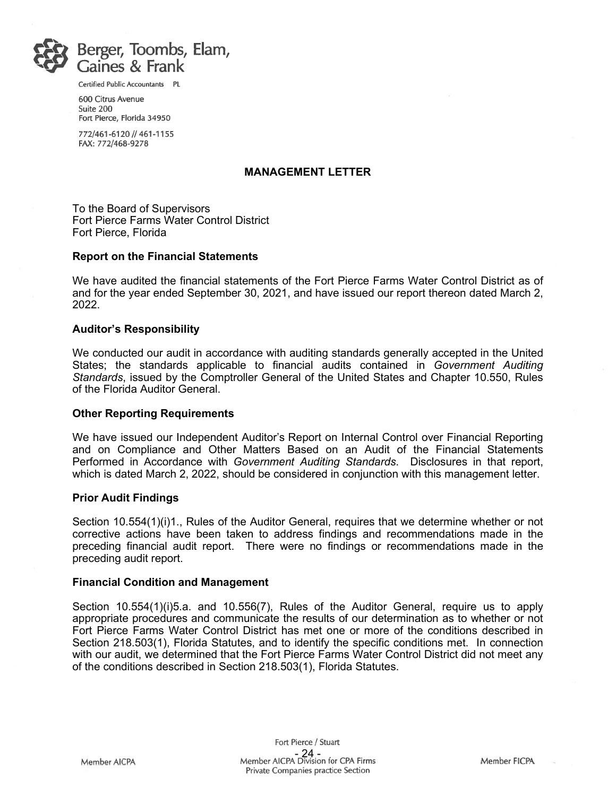

Certified Public Accountants PL

600 Citrus Avenue Suite 200 Fort Pierce, Florida 34950

772/461-6120 // 461-1155 FAX: 772/468-9278

#### **MANAGEMENT LETTER**

To the Board of Supervisors Fort Pierce Farms Water Control District Fort Pierce, Florida

#### **Report on the Financial Statements**

We have audited the financial statements of the Fort Pierce Farms Water Control District as of and for the year ended September 30, 2021, and have issued our report thereon dated March 2, 2022.

#### **Auditor's Responsibility**

We conducted our audit in accordance with auditing standards generally accepted in the United States; the standards applicable to financial audits contained in *Government Auditing Standards*, issued by the Comptroller General of the United States and Chapter 10.550, Rules of the Florida Auditor General.

#### **Other Reporting Requirements**

We have issued our Independent Auditor's Report on Internal Control over Financial Reporting and on Compliance and Other Matters Based on an Audit of the Financial Statements Performed in Accordance with *Government Auditing Standards*. Disclosures in that report, which is dated March 2, 2022, should be considered in conjunction with this management letter.

#### **Prior Audit Findings**

Section 10.554(1)(i)1., Rules of the Auditor General, requires that we determine whether or not corrective actions have been taken to address findings and recommendations made in the preceding financial audit report. There were no findings or recommendations made in the preceding audit report.

#### **Financial Condition and Management**

Section 10.554(1)(i)5.a. and 10.556(7), Rules of the Auditor General, require us to apply appropriate procedures and communicate the results of our determination as to whether or not Fort Pierce Farms Water Control District has met one or more of the conditions described in Section 218.503(1), Florida Statutes, and to identify the specific conditions met. In connection with our audit, we determined that the Fort Pierce Farms Water Control District did not meet any of the conditions described in Section 218.503(1), Florida Statutes.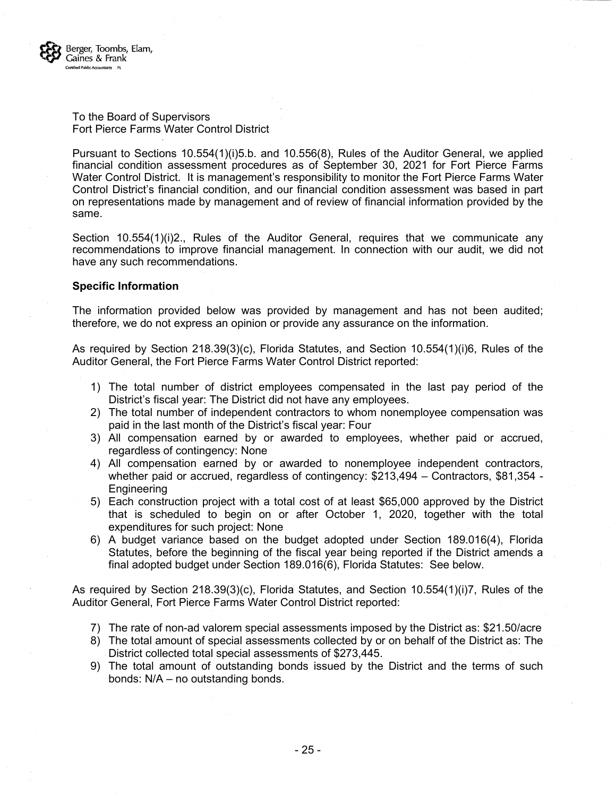

Pursuant to Sections 10.554(1)(i)5.b. and 10.556(8), Rules of the Auditor General, we applied financial condition assessment procedures as of September 30, 2021 for Fort Pierce Farms Water Control District. It is management's responsibility to monitor the Fort Pierce Farms Water Control District's financial condition, and our financial condition assessment was based in part on representations made by management and of review of financial information provided by the same.

Section 10.554(1)(i)2., Rules of the Auditor General, requires that we communicate any recommendations to improve financial management. In connection with our audit, we did not have any such recommendations.

#### **Specific Information**

The information provided below was provided by management and has not been audited; therefore, we do not express an opinion or provide any assurance on the information.

As required by Section 218.39(3)(c), Florida Statutes, and Section 10.554(1)(i)6, Rules of the Auditor General, the Fort Pierce Farms Water Control District reported:

- 1) The total number of district employees compensated in the last pay period of the District's fiscal year: The District did not have any employees.
- 2) The total number of independent contractors to whom nonemployee compensation was paid in the last month of the District's fiscal year: Four
- 3) All compensation earned by or awarded to employees, whether paid or accrued, regardless of contingency: None
- 4) All compensation earned by or awarded to nonemployee independent contractors, whether paid or accrued, regardless of contingency: \$213,494 – Contractors, \$81,354 - Engineering
- 5) Each construction project with a total cost of at least \$65,000 approved by the District that is scheduled to begin on or after October 1, 2020, together with the total expenditures for such project: None
- 6) A budget variance based on the budget adopted under Section 189.016(4), Florida Statutes, before the beginning of the fiscal year being reported if the District amends a final adopted budget under Section 189.016(6), Florida Statutes: See below.

As required by Section 218.39(3)(c), Florida Statutes, and Section 10.554(1)(i)7, Rules of the Auditor General, Fort Pierce Farms Water Control District reported:

- 7) The rate of non-ad valorem special assessments imposed by the District as: \$21.50/acre
- 8) The total amount of special assessments collected by or on behalf of the District as: The District collected total special assessments of \$273,445.
- 9) The total amount of outstanding bonds issued by the District and the terms of such bonds: N/A – no outstanding bonds.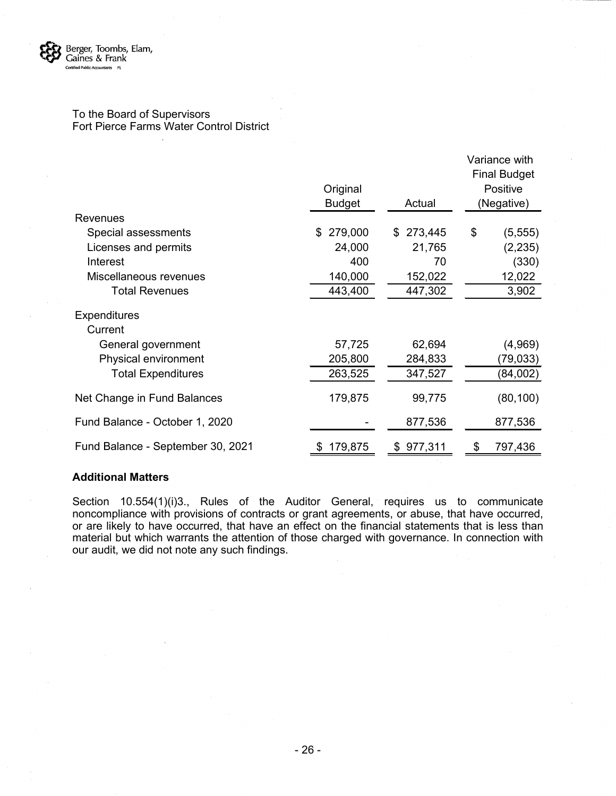

|                                   |               |                | Variance with       |  |
|-----------------------------------|---------------|----------------|---------------------|--|
|                                   |               |                | <b>Final Budget</b> |  |
|                                   | Original      | Positive       |                     |  |
|                                   | <b>Budget</b> | Actual         | (Negative)          |  |
| <b>Revenues</b>                   |               |                |                     |  |
| Special assessments               | 279,000<br>\$ | \$273,445      | \$<br>(5, 555)      |  |
| Licenses and permits              | 24,000        | 21,765         | (2, 235)            |  |
| Interest                          | 400           | 70             | (330)               |  |
| Miscellaneous revenues            | 140,000       | 152,022        | 12,022              |  |
| <b>Total Revenues</b>             | 443,400       | 447,302        | 3,902               |  |
| <b>Expenditures</b>               |               |                |                     |  |
| Current                           |               |                |                     |  |
| General government                | 57,725        | 62,694         | (4,969)             |  |
| Physical environment              | 205,800       | 284,833        | (79,033)            |  |
| <b>Total Expenditures</b>         | 263,525       | 347,527        | (84,002)            |  |
| Net Change in Fund Balances       | 179,875       | 99,775         | (80, 100)           |  |
| Fund Balance - October 1, 2020    |               | 877,536        | 877,536             |  |
| Fund Balance - September 30, 2021 | 179,875       | 977,311<br>\$. | 797,436<br>S        |  |

### **Additional Matters**

Section 10.554(1)(i)3., Rules of the Auditor General, requires us to communicate noncompliance with provisions of contracts or grant agreements, or abuse, that have occurred, or are likely to have occurred, that have an effect on the financial statements that is less than material but which warrants the attention of those charged with governance. In connection with our audit, we did not note any such findings.